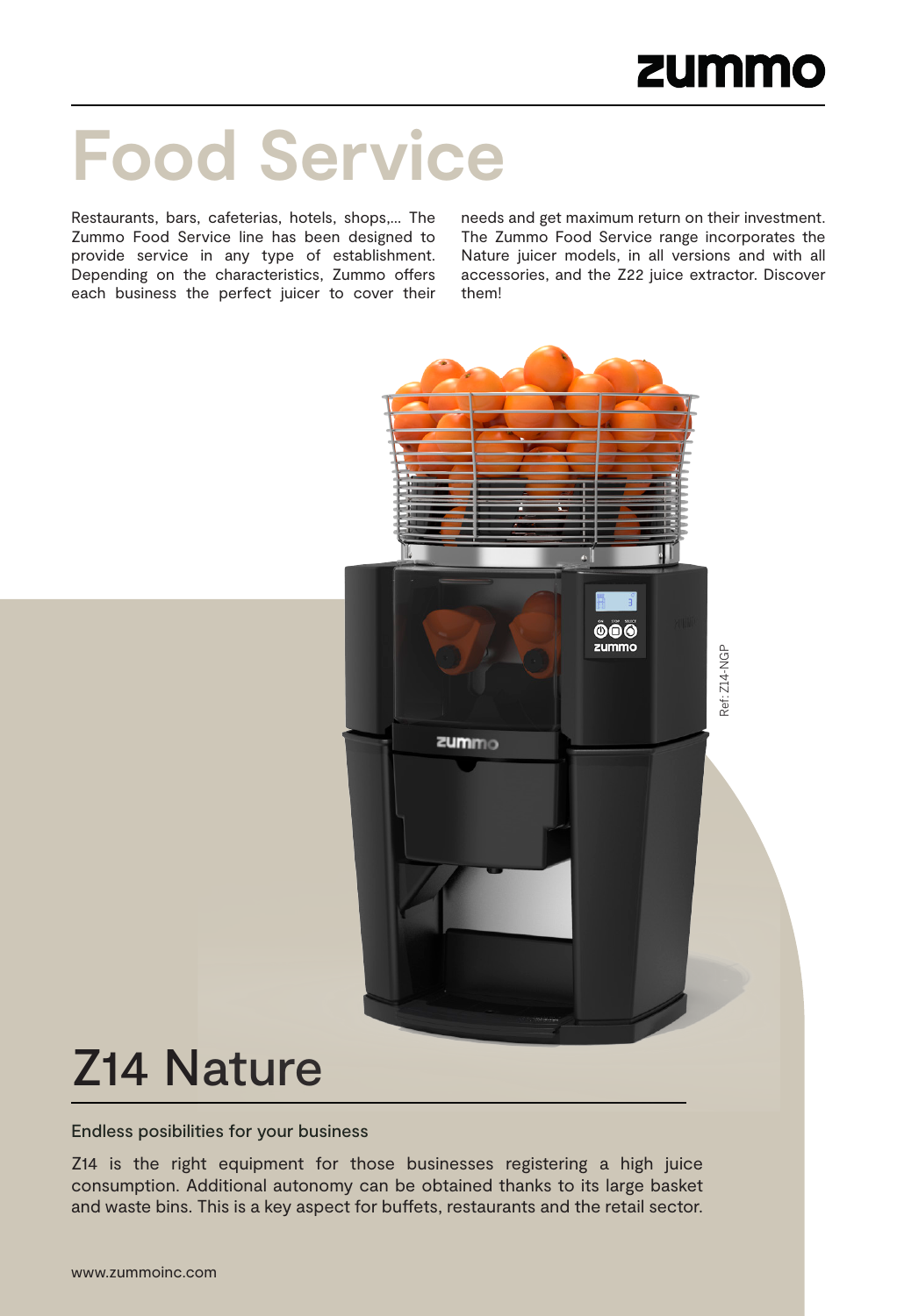# **Food Service**

Restaurants, bars, cafeterias, hotels, shops,… The Zummo Food Service line has been designed to provide service in any type of establishment. Depending on the characteristics, Zummo offers each business the perfect juicer to cover their needs and get maximum return on their investment. The Zummo Food Service range incorporates the Nature juicer models, in all versions and with all accessories, and the Z22 juice extractor. Discover them!



# Z14 Nature

Endless posibilities for your business

Z14 is the right equipment for those businesses registering a high juice consumption. Additional autonomy can be obtained thanks to its large basket and waste bins. This is a key aspect for buffets, restaurants and the retail sector.